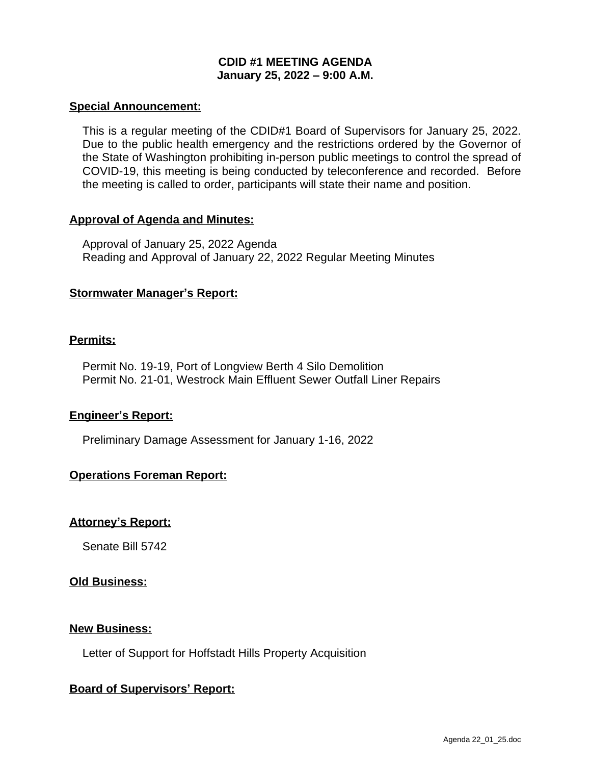# **CDID #1 MEETING AGENDA January 25, 2022 – 9:00 A.M.**

#### **Special Announcement:**

This is a regular meeting of the CDID#1 Board of Supervisors for January 25, 2022. Due to the public health emergency and the restrictions ordered by the Governor of the State of Washington prohibiting in-person public meetings to control the spread of COVID-19, this meeting is being conducted by teleconference and recorded. Before the meeting is called to order, participants will state their name and position.

#### **Approval of Agenda and Minutes:**

Approval of January 25, 2022 Agenda Reading and Approval of January 22, 2022 Regular Meeting Minutes

## **Stormwater Manager's Report:**

#### **Permits:**

Permit No. 19-19, Port of Longview Berth 4 Silo Demolition Permit No. 21-01, Westrock Main Effluent Sewer Outfall Liner Repairs

## **Engineer's Report:**

Preliminary Damage Assessment for January 1-16, 2022

## **Operations Foreman Report:**

## **Attorney's Report:**

Senate Bill 5742

#### **Old Business:**

#### **New Business:**

Letter of Support for Hoffstadt Hills Property Acquisition

## **Board of Supervisors' Report:**